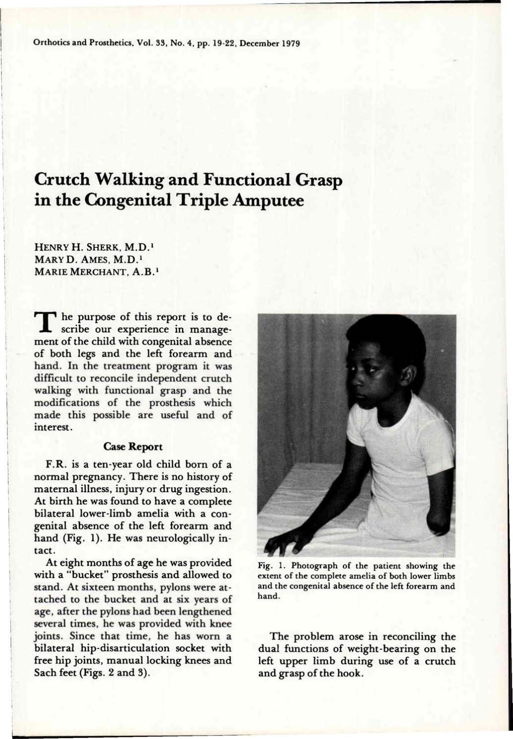# **Crutch Walking and Functional Grasp in the Congenital Triple Amputee**

**H**ENRY **H. S**HERK, **M.D. <sup>1</sup> M**ARY **D. A**MES, **M.D. <sup>1</sup> M**ARIE **M**ERCHANT, **A.B. <sup>1</sup>**

The purpose of this report is to de-<br>scribe our experience in management of the child with congenital absence of both legs and the left forearm and hand. In the treatment program it was difficult to reconcile independent crutch walking with functional grasp and the modifications of the prosthesis which made this possible are useful and of interest.

## **Case Report**

F.R. is a ten-year old child born of a normal pregnancy. There is no history of maternal illness, injury or drug ingestion. At birth he was found to have a complete bilateral lower-limb amelia with a congenital absence of the left forearm and hand (Fig. 1). He was neurologically intact.

At eight months of age he was provided with a "bucket" prosthesis and allowed to stand. At sixteen months, pylons were attached to the bucket and at six years of age, after the pylons had been lengthened several times, he was provided with knee joints. Since that time, he has worn a bilateral hip-disarticulation socket with free hip joints, manual locking knees and Sach feet (Figs. 2 and 3).



**Fig. 1. Photograph of the patient showing the extent of the complete amelia of both lower limbs and the congenital absence of the left forearm and hand.** 

The problem arose in reconciling the dual functions of weight-bearing on the left upper limb during use of a crutch and grasp of the hook.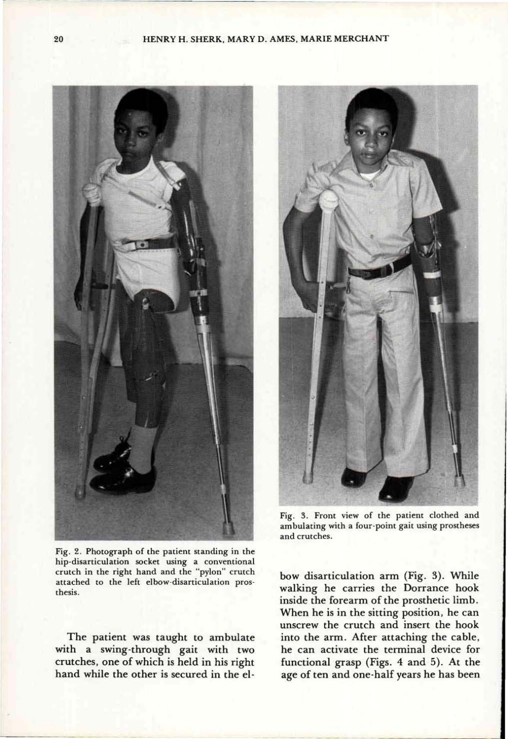

**Fig. 2. Photograph of the patient standing in the hip-disarticulation socket using a conventional crutch in the right hand and the "pylon" crutch attached to the left elbow-disarticulation prosthesis.** 

The patient was taught to ambulate with a swing-through gait with two crutches, one of which is held in his right hand while the other is secured in the el-



**Fig. 3. Front view of the patient clothed and ambulating with a four-point gait using prostheses and crutches.** 

bow disarticulation arm (Fig. 3). While walking he carries the Dorrance hook inside the forearm of the prosthetic limb. When he is in the sitting position, he can unscrew the crutch and insert the hook into the arm. After attaching the cable, he can activate the terminal device for functional grasp (Figs. 4 and 5). At the age of ten and one-half years he has been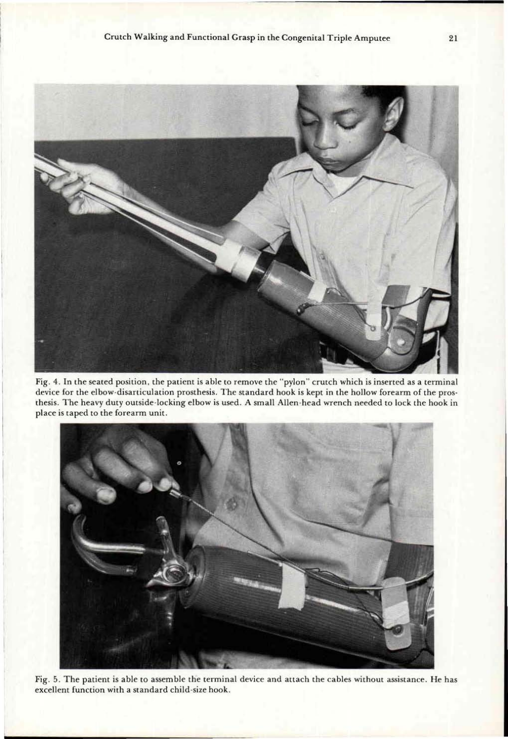

**Fig. 4. In the seated position, the patient is able to remove the "pylon" crutch which is inserted as a terminal device for the elbow-disarticulation prosthesis. The standard hook is kept in the hollow forearm of the prosthesis. The heavy duty outside-locking elbow is used. A small Allen-head wrench needed to lock the hook in place is taped to the forearm unit.** 



**Fig. 5. The patient is able to assemble the terminal device and attach the cables without assistance. He has excellent function with a standard child-size hook.**